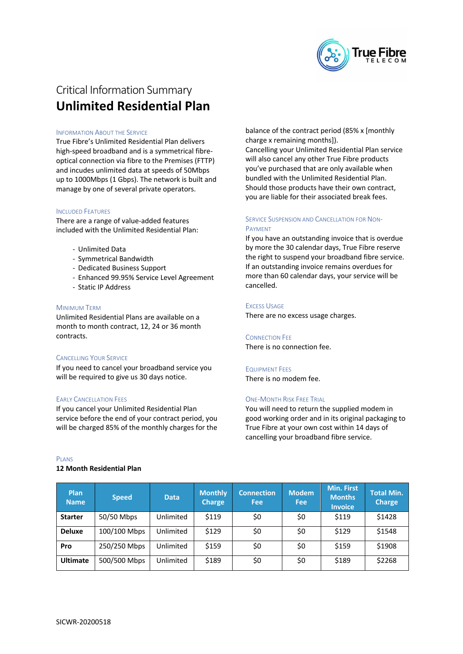

# Critical Information Summary **Unlimited Residential Plan**

## INFORMATION ABOUT THE SERVICE

True Fibre's Unlimited Residential Plan delivers high-speed broadband and is a symmetrical fibreoptical connection via fibre to the Premises (FTTP) and incudes unlimited data at speeds of 50Mbps up to 1000Mbps (1 Gbps). The network is built and manage by one of several private operators.

#### INCLUDED FEATURES

There are a range of value-added features included with the Unlimited Residential Plan:

- Unlimited Data
- Symmetrical Bandwidth
- Dedicated Business Support
- Enhanced 99.95% Service Level Agreement
- Static IP Address

## MINIMUM TERM

Unlimited Residential Plans are available on a month to month contract, 12, 24 or 36 month contracts.

## **CANCELLING YOUR SERVICE**

If you need to cancel your broadband service you will be required to give us 30 days notice.

## EARLY CANCELLATION FEES

If you cancel your Unlimited Residential Plan service before the end of your contract period, you will be charged 85% of the monthly charges for the

#### PLANS

#### **12 Month Residential Plan**

balance of the contract period (85% x [monthly charge x remaining months]).

Cancelling your Unlimited Residential Plan service will also cancel any other True Fibre products you've purchased that are only available when bundled with the Unlimited Residential Plan. Should those products have their own contract, you are liable for their associated break fees.

# SERVICE SUSPENSION AND CANCELLATION FOR NON-PAYMENT

If you have an outstanding invoice that is overdue by more the 30 calendar days, True Fibre reserve the right to suspend your broadband fibre service. If an outstanding invoice remains overdues for more than 60 calendar days, your service will be cancelled.

## EXCESS USAGE

There are no excess usage charges.

#### CONNECTION FEE

There is no connection fee.

## EQUIPMENT FEES

There is no modem fee.

# ONE-MONTH RISK FREE TRIAL

You will need to return the supplied modem in good working order and in its original packaging to True Fibre at your own cost within 14 days of cancelling your broadband fibre service.

| <b>Plan</b><br><b>Name</b> | <b>Speed</b> | <b>Data</b> | <b>Monthly</b><br><b>Charge</b> | <b>Connection</b><br>Fee | <b>Modem</b><br>Fee | <b>Min. First</b><br><b>Months</b><br><b>Invoice</b> | <b>Total Min.</b><br><b>Charge</b> |
|----------------------------|--------------|-------------|---------------------------------|--------------------------|---------------------|------------------------------------------------------|------------------------------------|
| <b>Starter</b>             | 50/50 Mbps   | Unlimited   | \$119                           | \$0                      | \$0                 | \$119                                                | \$1428                             |
| <b>Deluxe</b>              | 100/100 Mbps | Unlimited   | \$129                           | \$0                      | \$0                 | \$129                                                | \$1548                             |
| Pro                        | 250/250 Mbps | Unlimited   | \$159                           | \$0                      | \$0                 | \$159                                                | \$1908                             |
| <b>Ultimate</b>            | 500/500 Mbps | Unlimited   | \$189                           | \$0                      | \$0                 | \$189                                                | \$2268                             |